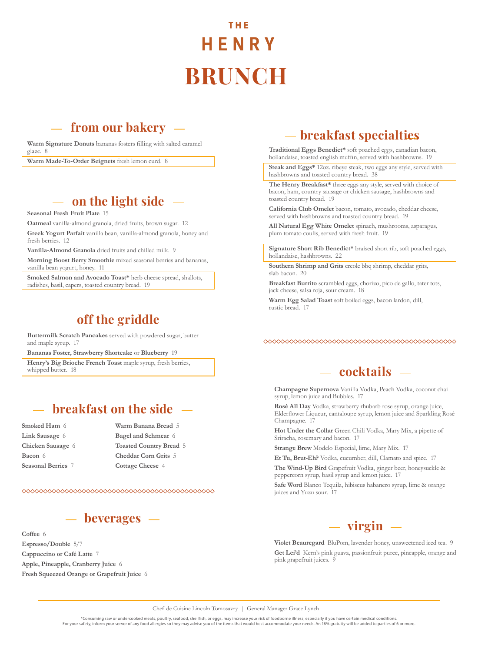# THE HENRY **BRUNCH**

# **from our bakery**

**Warm Signature Donuts** bananas fosters filling with salted caramel glaze. 8

**Warm Made-To-Order Beignets** fresh lemon curd. 8

## **on the light side**

**Seasonal Fresh Fruit Plate** 15

**Oatmeal** vanilla-almond granola, dried fruits, brown sugar. 12 **Greek Yogurt Parfait** vanilla bean, vanilla-almond granola, honey and fresh berries. 12

**Vanilla-Almond Granola** dried fruits and chilled milk. 9

**Morning Boost Berry Smoothie** mixed seasonal berries and bananas, vanilla bean yogurt, honey. 11

**Smoked Salmon and Avocado Toast\*** herb cheese spread, shallots, radishes, basil, capers, toasted country bread. 19

# **off the griddle**

**Buttermilk Scratch Pancakes** served with powdered sugar, butter and maple syrup. 17

**Bananas Foster, Strawberry Shortcake** or **Blueberry** 19

Henry's Big Brioche French Toast maple syrup, fresh berries, whipped butter. 18

# **breakfast on the side**

**Smoked Ham** 6 **Link Sausage** 6 **Chicken Sausage** 6 **Bacon** 6 **Seasonal Berries** 7

#### **Warm Banana Bread** 5 **Bagel and Schmear** 6 **Toasted Country Bread** 5 **Cheddar Corn Grits** 5 **Cottage Cheese** 4

# **beverages**

**Coffee** 6 **Espresso/Double** 5/7 **Cappuccino or Café Latte** 7 **Apple, Pineapple, Cranberry Juice** 6 **Fresh Squeezed Orange or Grapefruit Juice** 6

# **breakfast specialties**

**Traditional Eggs Benedict\*** soft poached eggs, canadian bacon, hollandaise, toasted english muffin, served with hashbrowns. 19

**Steak and Eggs\*** 12oz. ribeye steak, two eggs any style, served with hashbrowns and toasted country bread. 38

**The Henry Breakfast\*** three eggs any style, served with choice of bacon, ham, country sausage or chicken sausage, hashbrowns and toasted country bread. 19

**California Club Omelet** bacon, tomato, avocado, cheddar cheese, served with hashbrowns and toasted country bread. 19

**All Natural Egg White Omelet** spinach, mushrooms, asparagus, plum tomato coulis, served with fresh fruit. 19

**Signature Short Rib Benedict\*** braised short rib, soft poached eggs, hollandaise, hashbrowns. 22

**Southern Shrimp and Grits** creole bbq shrimp, cheddar grits, slab bacon. 20

**Breakfast Burrito** scrambled eggs, chorizo, pico de gallo, tater tots, jack cheese, salsa roja, sour cream. 18

**Warm Egg Salad Toast** soft boiled eggs, bacon lardon, dill, rustic bread. 17

### **cocktails**

**Champagne Supernova** Vanilla Vodka, Peach Vodka, coconut chai syrup, lemon juice and Bubbles. 17

**Rosé All Day** Vodka, strawberry rhubarb rose syrup, orange juice, Elderflower Liqueur, cantaloupe syrup, lemon juice and Sparkling Rosé Champagne. 17

**Hot Under the Collar** Green Chili Vodka, Mary Mix, a pipette of Sriracha, rosemary and bacon. 17

**Strange Brew** Modelo Especial, lime, Mary Mix. 17

**Et Tu, Brut-Eh?** Vodka, cucumber, dill, Clamato and spice. 17 **The Wind-Up Bird** Grapefruit Vodka, ginger beer, honeysuckle & peppercorn syrup, basil syrup and lemon juice. 17

**Safe Word** Blanco Tequila, hibiscus habanero syrup, lime & orange juices and Yuzu sour. 17



**Violet Beauregard** BluPom, lavender honey, unsweetened iced tea. 9 **Get Lei'd** Kern's pink guava, passionfruit puree, pineapple, orange and pink grapefruit juices. 9

Chef de Cuisine Lincoln Tomosavry | General Manager Grace Lynch

\*Consuming raw or undercooked meats, poultry, seafood, shellfish, or eggs, may increase your risk of foodborne illness, especially if you have certain medical conditions. For your safety, inform your server of any food allergies so they may advise you of the items that would best accommodate your needs. An 18% gratuity will be added to parties of 6 or more.